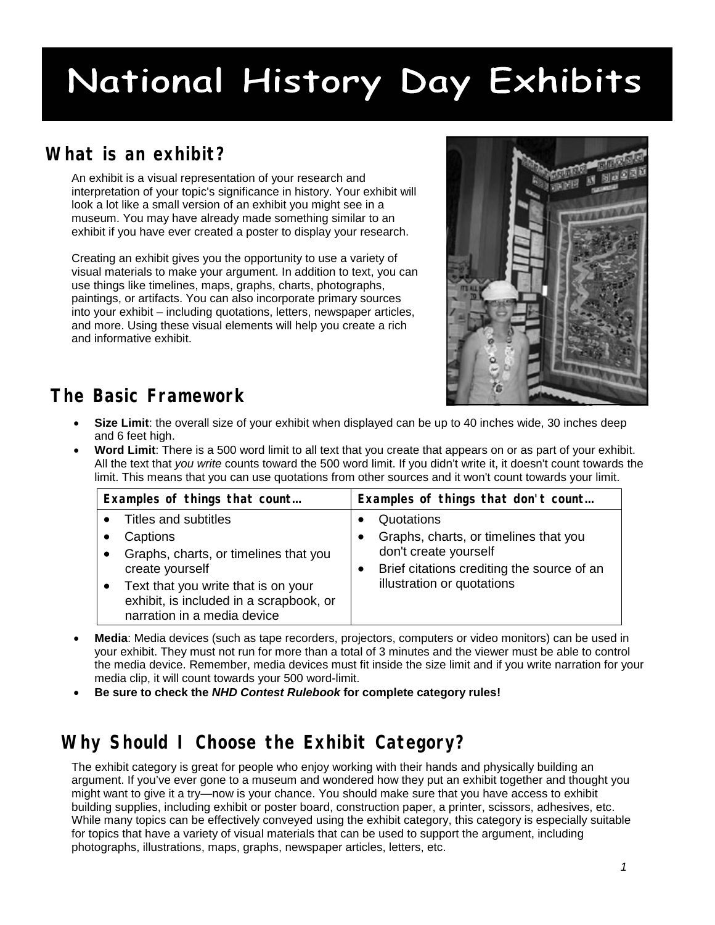# National History Day Exhibits

### **What is an exhibit?**

An exhibit is a visual representation of your research and interpretation of your topic's significance in history. Your exhibit will look a lot like a small version of an exhibit you might see in a museum. You may have already made something similar to an exhibit if you have ever created a poster to display your research.

Creating an exhibit gives you the opportunity to use a variety of visual materials to make your argument. In addition to text, you can use things like timelines, maps, graphs, charts, photographs, paintings, or artifacts. You can also incorporate primary sources into your exhibit – including quotations, letters, newspaper articles, and more. Using these visual elements will help you create a rich and informative exhibit.



### **The Basic Framework**

- **Size Limit**: the overall size of your exhibit when displayed can be up to 40 inches wide, 30 inches deep and 6 feet high.
- **Word Limit**: There is a 500 word limit to all text that you create that appears on or as part of your exhibit. All the text that *you write* counts toward the 500 word limit. If you didn't write it, it doesn't count towards the limit. This means that you can use quotations from other sources and it won't count towards your limit.

| Examples of things that count           | Examples of things that don't count        |
|-----------------------------------------|--------------------------------------------|
| Titles and subtitles                    | Quotations                                 |
| Captions                                | Graphs, charts, or timelines that you      |
| Graphs, charts, or timelines that you   | don't create yourself                      |
| create yourself                         | Brief citations crediting the source of an |
| Text that you write that is on your     | illustration or quotations                 |
| exhibit, is included in a scrapbook, or |                                            |
| narration in a media device             |                                            |

- **Media**: Media devices (such as tape recorders, projectors, computers or video monitors) can be used in your exhibit. They must not run for more than a total of 3 minutes and the viewer must be able to control the media device. Remember, media devices must fit inside the size limit and if you write narration for your media clip, it will count towards your 500 word-limit.
- **Be sure to check the** *NHD Contest Rulebook* **for complete category rules!**

### **Why Should I Choose the Exhibit Category?**

The exhibit category is great for people who enjoy working with their hands and physically building an argument. If you've ever gone to a museum and wondered how they put an exhibit together and thought you might want to give it a try—now is your chance. You should make sure that you have access to exhibit building supplies, including exhibit or poster board, construction paper, a printer, scissors, adhesives, etc. While many topics can be effectively conveyed using the exhibit category, this category is especially suitable for topics that have a variety of visual materials that can be used to support the argument, including photographs, illustrations, maps, graphs, newspaper articles, letters, etc.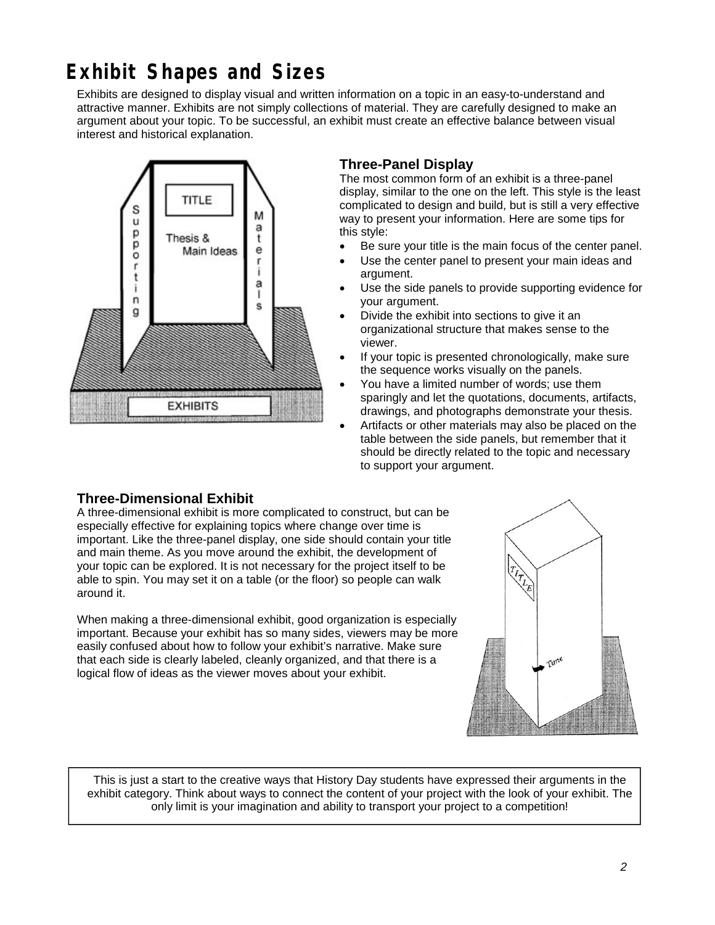### **Exhibit Shapes and Sizes**

Exhibits are designed to display visual and written information on a topic in an easy-to-understand and attractive manner. Exhibits are not simply collections of material. They are carefully designed to make an argument about your topic. To be successful, an exhibit must create an effective balance between visual interest and historical explanation.



### **Three-Panel Display**

The most common form of an exhibit is a three-panel display, similar to the one on the left. This style is the least complicated to design and build, but is still a very effective way to present your information. Here are some tips for this style:

- Be sure your title is the main focus of the center panel.
- Use the center panel to present your main ideas and argument.
- Use the side panels to provide supporting evidence for your argument.
- Divide the exhibit into sections to give it an organizational structure that makes sense to the viewer.
- If your topic is presented chronologically, make sure the sequence works visually on the panels.
- You have a limited number of words; use them sparingly and let the quotations, documents, artifacts, drawings, and photographs demonstrate your thesis.
- Artifacts or other materials may also be placed on the table between the side panels, but remember that it should be directly related to the topic and necessary to support your argument.

### **Three-Dimensional Exhibit**

A three-dimensional exhibit is more complicated to construct, but can be especially effective for explaining topics where change over time is important. Like the three-panel display, one side should contain your title and main theme. As you move around the exhibit, the development of your topic can be explored. It is not necessary for the project itself to be able to spin. You may set it on a table (or the floor) so people can walk around it.

When making a three-dimensional exhibit, good organization is especially important. Because your exhibit has so many sides, viewers may be more easily confused about how to follow your exhibit's narrative. Make sure that each side is clearly labeled, cleanly organized, and that there is a logical flow of ideas as the viewer moves about your exhibit.

This is just a start to the creative ways that History Day students have expressed their arguments in the exhibit category. Think about ways to connect the content of your project with the look of your exhibit. The only limit is your imagination and ability to transport your project to a competition!

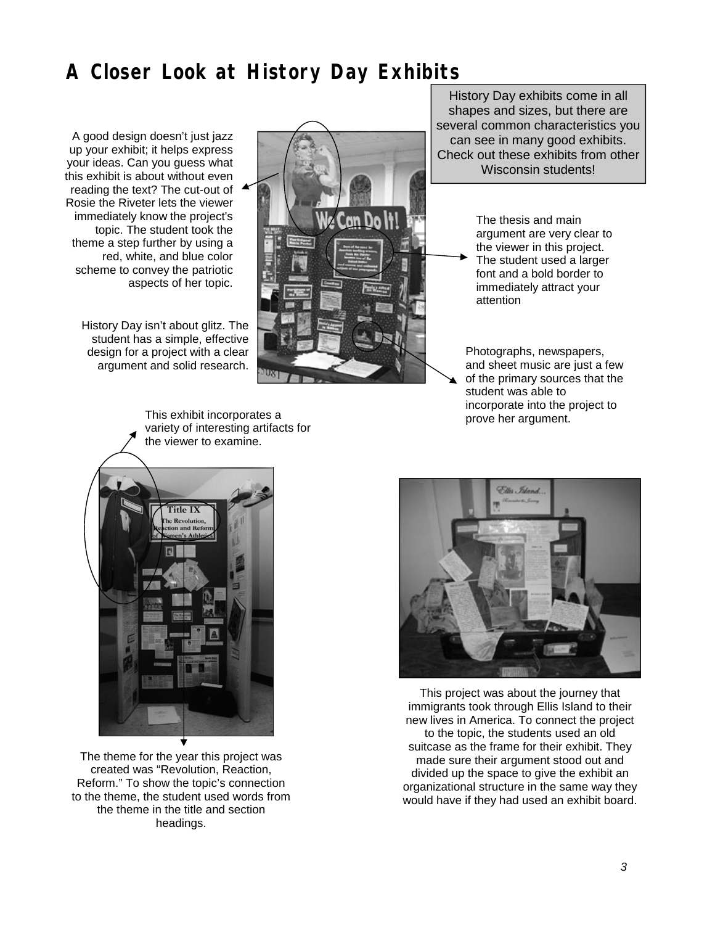### **A Closer Look at History Day Exhibits**

A good design doesn't just jazz up your exhibit; it helps express your ideas. Can you guess what this exhibit is about without even reading the text? The cut-out of Rosie the Riveter lets the viewer immediately know the project's topic. The student took the theme a step further by using a red, white, and blue color scheme to convey the patriotic aspects of her topic.

History Day isn't about glitz. The student has a simple, effective design for a project with a clear argument and solid research.



History Day exhibits come in all shapes and sizes, but there are several common characteristics you can see in many good exhibits. Check out these exhibits from other Wisconsin students!

> The thesis and main argument are very clear to the viewer in this project. The student used a larger font and a bold border to immediately attract your attention

Photographs, newspapers, and sheet music are just a few of the primary sources that the student was able to incorporate into the project to prove her argument.



The theme for the year this project was created was "Revolution, Reaction, Reform." To show the topic's connection to the theme, the student used words from the theme in the title and section headings.



This project was about the journey that immigrants took through Ellis Island to their new lives in America. To connect the project to the topic, the students used an old suitcase as the frame for their exhibit. They made sure their argument stood out and divided up the space to give the exhibit an organizational structure in the same way they would have if they had used an exhibit board.

This exhibit incorporates a variety of interesting artifacts for the viewer to examine.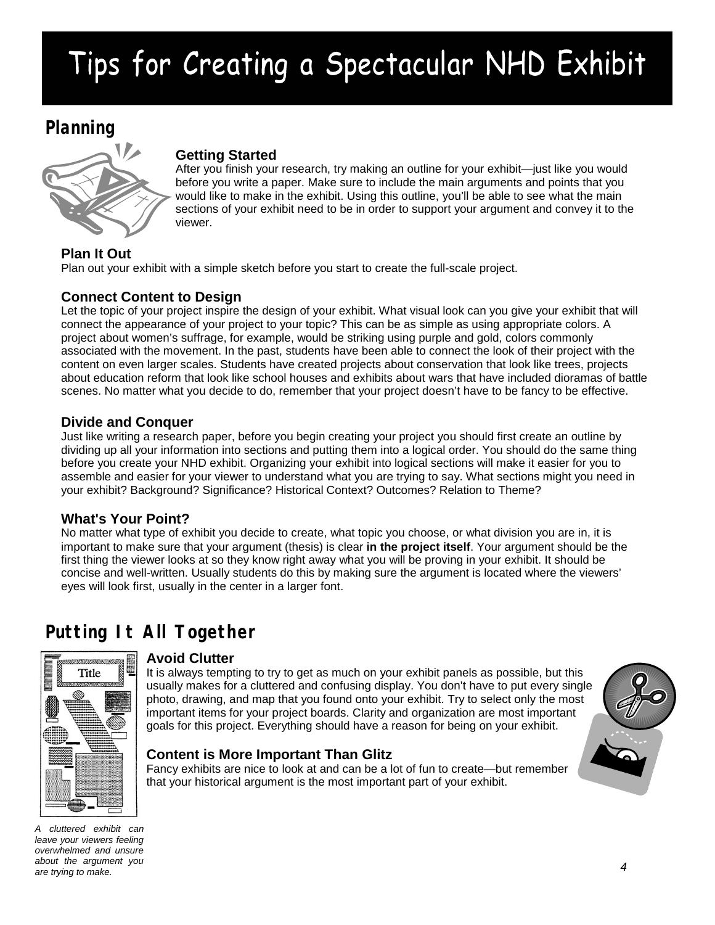## Tips for Creating a Spectacular NHD Exhibit

### **Planning**



### **Getting Started**

After you finish your research, try making an outline for your exhibit—just like you would before you write a paper. Make sure to include the main arguments and points that you would like to make in the exhibit. Using this outline, you'll be able to see what the main sections of your exhibit need to be in order to support your argument and convey it to the viewer.

### **Plan It Out**

Plan out your exhibit with a simple sketch before you start to create the full-scale project.

### **Connect Content to Design**

Let the topic of your project inspire the design of your exhibit. What visual look can you give your exhibit that will connect the appearance of your project to your topic? This can be as simple as using appropriate colors. A project about women's suffrage, for example, would be striking using purple and gold, colors commonly associated with the movement. In the past, students have been able to connect the look of their project with the content on even larger scales. Students have created projects about conservation that look like trees, projects about education reform that look like school houses and exhibits about wars that have included dioramas of battle scenes. No matter what you decide to do, remember that your project doesn't have to be fancy to be effective.

### **Divide and Conquer**

Just like writing a research paper, before you begin creating your project you should first create an outline by dividing up all your information into sections and putting them into a logical order. You should do the same thing before you create your NHD exhibit. Organizing your exhibit into logical sections will make it easier for you to assemble and easier for your viewer to understand what you are trying to say. What sections might you need in your exhibit? Background? Significance? Historical Context? Outcomes? Relation to Theme?

### **What's Your Point?**

No matter what type of exhibit you decide to create, what topic you choose, or what division you are in, it is important to make sure that your argument (thesis) is clear **in the project itself**. Your argument should be the first thing the viewer looks at so they know right away what you will be proving in your exhibit. It should be concise and well-written. Usually students do this by making sure the argument is located where the viewers' eyes will look first, usually in the center in a larger font.

### **Putting It All Together**



### **Avoid Clutter**

It is always tempting to try to get as much on your exhibit panels as possible, but this usually makes for a cluttered and confusing display. You don't have to put every single photo, drawing, and map that you found onto your exhibit. Try to select only the most important items for your project boards. Clarity and organization are most important goals for this project. Everything should have a reason for being on your exhibit.

### **Content is More Important Than Glitz**

Fancy exhibits are nice to look at and can be a lot of fun to create—but remember that your historical argument is the most important part of your exhibit.



*A cluttered exhibit can leave your viewers feeling overwhelmed and unsure about the argument you are trying to make.*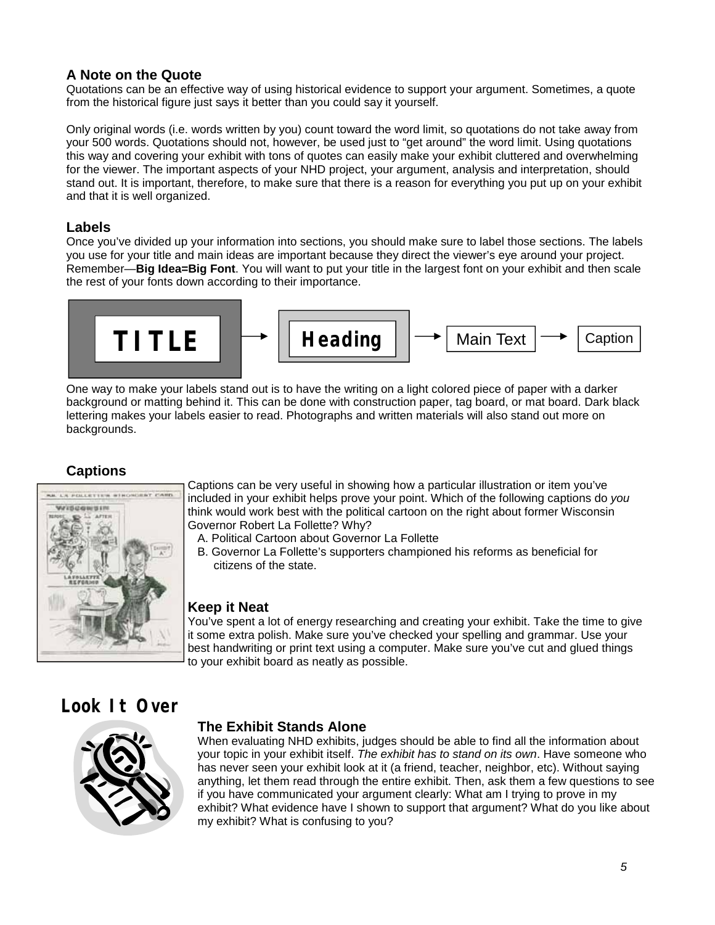### **A Note on the Quote**

Quotations can be an effective way of using historical evidence to support your argument. Sometimes, a quote from the historical figure just says it better than you could say it yourself.

Only original words (i.e. words written by you) count toward the word limit, so quotations do not take away from your 500 words. Quotations should not, however, be used just to "get around" the word limit. Using quotations this way and covering your exhibit with tons of quotes can easily make your exhibit cluttered and overwhelming for the viewer. The important aspects of your NHD project, your argument, analysis and interpretation, should stand out. It is important, therefore, to make sure that there is a reason for everything you put up on your exhibit and that it is well organized.

### **Labels**

Once you've divided up your information into sections, you should make sure to label those sections. The labels you use for your title and main ideas are important because they direct the viewer's eye around your project. Remember—**Big Idea=Big Font**. You will want to put your title in the largest font on your exhibit and then scale the rest of your fonts down according to their importance.

$$
\boxed{\text{THE}} \rightarrow \boxed{\text{Heading}} \rightarrow \boxed{\text{Main Text}} \rightarrow \boxed{\text{Caption}}
$$

One way to make your labels stand out is to have the writing on a light colored piece of paper with a darker background or matting behind it. This can be done with construction paper, tag board, or mat board. Dark black lettering makes your labels easier to read. Photographs and written materials will also stand out more on backgrounds.

### **Captions**



Captions can be very useful in showing how a particular illustration or item you've included in your exhibit helps prove your point. Which of the following captions do *you* think would work best with the political cartoon on the right about former Wisconsin Governor Robert La Follette? Why?

- A. Political Cartoon about Governor La Follette
- B. Governor La Follette's supporters championed his reforms as beneficial for citizens of the state.

### **Keep it Neat**

You've spent a lot of energy researching and creating your exhibit. Take the time to give it some extra polish. Make sure you've checked your spelling and grammar. Use your best handwriting or print text using a computer. Make sure you've cut and glued things to your exhibit board as neatly as possible.

### **Look It Over**



### **The Exhibit Stands Alone**

When evaluating NHD exhibits, judges should be able to find all the information about your topic in your exhibit itself. *The exhibit has to stand on its own*. Have someone who has never seen your exhibit look at it (a friend, teacher, neighbor, etc). Without saying anything, let them read through the entire exhibit. Then, ask them a few questions to see if you have communicated your argument clearly: What am I trying to prove in my exhibit? What evidence have I shown to support that argument? What do you like about my exhibit? What is confusing to you?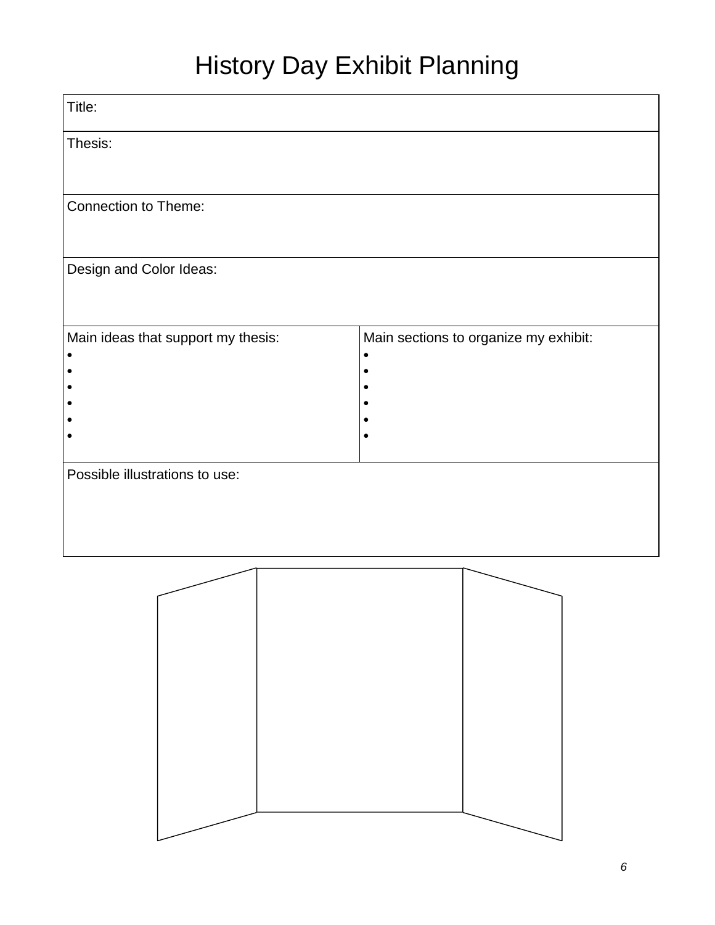## History Day Exhibit Planning

| Title:                             |                                       |
|------------------------------------|---------------------------------------|
| Thesis:                            |                                       |
| <b>Connection to Theme:</b>        |                                       |
|                                    |                                       |
| Design and Color Ideas:            |                                       |
| Main ideas that support my thesis: | Main sections to organize my exhibit: |
|                                    |                                       |
|                                    |                                       |
|                                    |                                       |
| Possible illustrations to use:     |                                       |
|                                    |                                       |
|                                    |                                       |